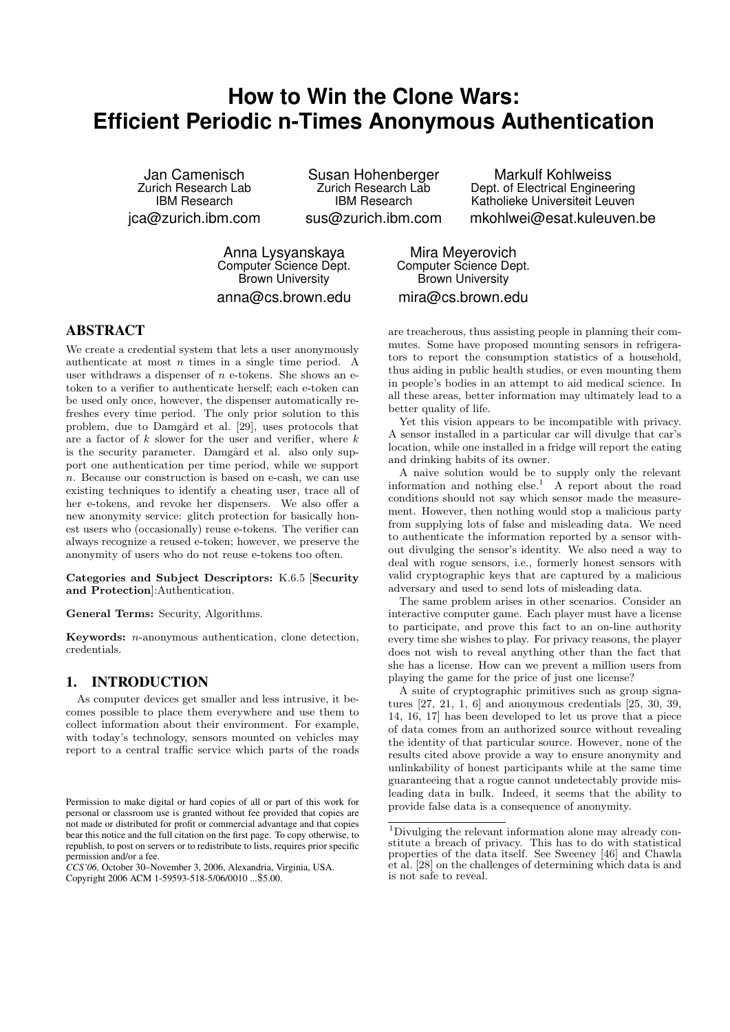# **How to Win the Clone Wars: Efficient Periodic n-Times Anonymous Authentication**

Jan Camenisch Zurich Research Lab IBM Research jca@zurich.ibm.com

Susan Hohenberger Zurich Research Lab IBM Research sus@zurich.ibm.com

Markulf Kohlweiss Dept. of Electrical Engineering Katholieke Universiteit Leuven mkohlwei@esat.kuleuven.be

Anna Lysyanskaya Computer Science Dept. Brown University anna@cs.brown.edu

Mira Meyerovich Computer Science Dept. Brown University mira@cs.brown.edu

# **ABSTRACT**

We create a credential system that lets a user anonymously authenticate at most  $n$  times in a single time period. A user withdraws a dispenser of  $n$  e-tokens. She shows an etoken to a verifier to authenticate herself; each e-token can be used only once, however, the dispenser automatically refreshes every time period. The only prior solution to this problem, due to Damgård et al. [29], uses protocols that are a factor of  $k$  slower for the user and verifier, where  $k$ is the security parameter. Damgård et al. also only support one authentication per time period, while we support n. Because our construction is based on e-cash, we can use existing techniques to identify a cheating user, trace all of her e-tokens, and revoke her dispensers. We also offer a new anonymity service: glitch protection for basically honest users who (occasionally) reuse e-tokens. The verifier can always recognize a reused e-token; however, we preserve the anonymity of users who do not reuse e-tokens too often.

## Categories and Subject Descriptors: K.6.5 [Security and Protection]:Authentication.

#### General Terms: Security, Algorithms.

Keywords: n-anonymous authentication, clone detection, credentials.

# 1. INTRODUCTION

As computer devices get smaller and less intrusive, it becomes possible to place them everywhere and use them to collect information about their environment. For example, with today's technology, sensors mounted on vehicles may report to a central traffic service which parts of the roads

are treacherous, thus assisting people in planning their commutes. Some have proposed mounting sensors in refrigerators to report the consumption statistics of a household, thus aiding in public health studies, or even mounting them in people's bodies in an attempt to aid medical science. In all these areas, better information may ultimately lead to a better quality of life.

Yet this vision appears to be incompatible with privacy. A sensor installed in a particular car will divulge that car's location, while one installed in a fridge will report the eating and drinking habits of its owner.

A naive solution would be to supply only the relevant information and nothing else.<sup>1</sup> A report about the road conditions should not say which sensor made the measurement. However, then nothing would stop a malicious party from supplying lots of false and misleading data. We need to authenticate the information reported by a sensor without divulging the sensor's identity. We also need a way to deal with rogue sensors, i.e., formerly honest sensors with valid cryptographic keys that are captured by a malicious adversary and used to send lots of misleading data.

The same problem arises in other scenarios. Consider an interactive computer game. Each player must have a license to participate, and prove this fact to an on-line authority every time she wishes to play. For privacy reasons, the player does not wish to reveal anything other than the fact that she has a license. How can we prevent a million users from playing the game for the price of just one license?

A suite of cryptographic primitives such as group signatures [27, 21, 1, 6] and anonymous credentials [25, 30, 39, 14, 16, 17] has been developed to let us prove that a piece of data comes from an authorized source without revealing the identity of that particular source. However, none of the results cited above provide a way to ensure anonymity and unlinkability of honest participants while at the same time guaranteeing that a rogue cannot undetectably provide misleading data in bulk. Indeed, it seems that the ability to provide false data is a consequence of anonymity.

Permission to make digital or hard copies of all or part of this work for personal or classroom use is granted without fee provided that copies are not made or distributed for profit or commercial advantage and that copies bear this notice and the full citation on the first page. To copy otherwise, to republish, to post on servers or to redistribute to lists, requires prior specific permission and/or a fee.

*CCS'06,* October 30–November 3, 2006, Alexandria, Virginia, USA. Copyright 2006 ACM 1-59593-518-5/06/0010 ...\$5.00.

 $1$ Divulging the relevant information alone may already constitute a breach of privacy. This has to do with statistical properties of the data itself. See Sweeney [46] and Chawla et al. [28] on the challenges of determining which data is and is not safe to reveal.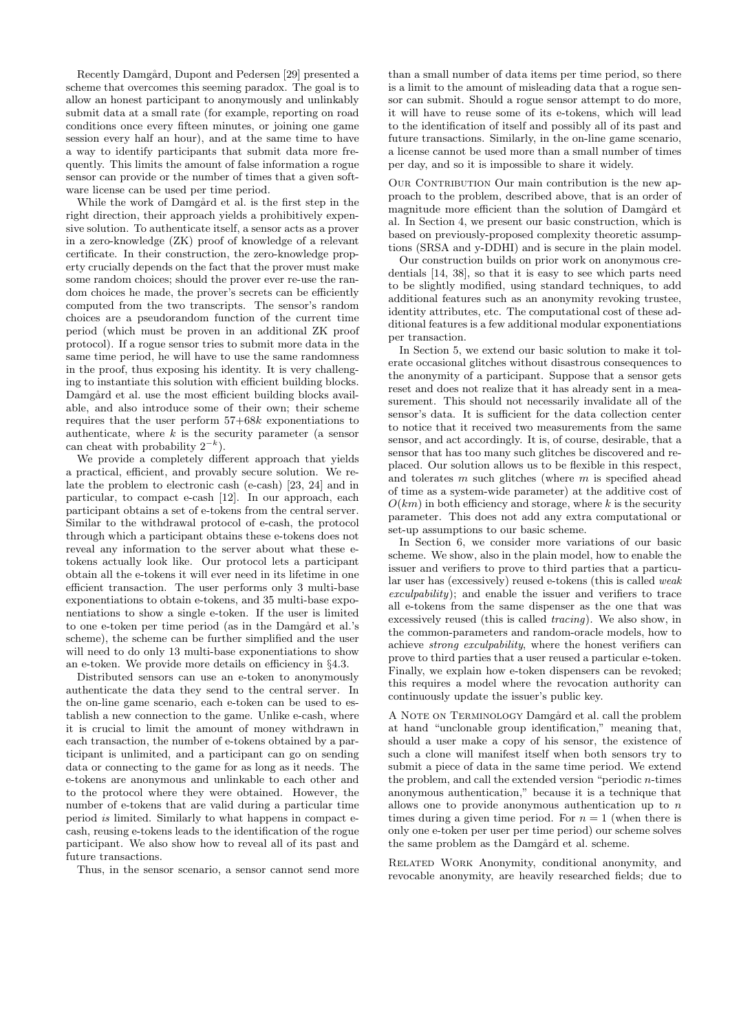Recently Damgård, Dupont and Pedersen [29] presented a scheme that overcomes this seeming paradox. The goal is to allow an honest participant to anonymously and unlinkably submit data at a small rate (for example, reporting on road conditions once every fifteen minutes, or joining one game session every half an hour), and at the same time to have a way to identify participants that submit data more frequently. This limits the amount of false information a rogue sensor can provide or the number of times that a given software license can be used per time period.

While the work of Damgård et al. is the first step in the right direction, their approach yields a prohibitively expensive solution. To authenticate itself, a sensor acts as a prover in a zero-knowledge (ZK) proof of knowledge of a relevant certificate. In their construction, the zero-knowledge property crucially depends on the fact that the prover must make some random choices; should the prover ever re-use the random choices he made, the prover's secrets can be efficiently computed from the two transcripts. The sensor's random choices are a pseudorandom function of the current time period (which must be proven in an additional ZK proof protocol). If a rogue sensor tries to submit more data in the same time period, he will have to use the same randomness in the proof, thus exposing his identity. It is very challenging to instantiate this solution with efficient building blocks. Damgård et al. use the most efficient building blocks available, and also introduce some of their own; their scheme requires that the user perform  $57+68k$  exponentiations to authenticate, where  $k$  is the security parameter (a sensor can cheat with probability  $2^{-k}$ ).

We provide a completely different approach that yields a practical, efficient, and provably secure solution. We relate the problem to electronic cash (e-cash) [23, 24] and in particular, to compact e-cash [12]. In our approach, each participant obtains a set of e-tokens from the central server. Similar to the withdrawal protocol of e-cash, the protocol through which a participant obtains these e-tokens does not reveal any information to the server about what these etokens actually look like. Our protocol lets a participant obtain all the e-tokens it will ever need in its lifetime in one efficient transaction. The user performs only 3 multi-base exponentiations to obtain e-tokens, and 35 multi-base exponentiations to show a single e-token. If the user is limited to one e-token per time period (as in the Damgård et al.'s scheme), the scheme can be further simplified and the user will need to do only 13 multi-base exponentiations to show an e-token. We provide more details on efficiency in §4.3.

Distributed sensors can use an e-token to anonymously authenticate the data they send to the central server. In the on-line game scenario, each e-token can be used to establish a new connection to the game. Unlike e-cash, where it is crucial to limit the amount of money withdrawn in each transaction, the number of e-tokens obtained by a participant is unlimited, and a participant can go on sending data or connecting to the game for as long as it needs. The e-tokens are anonymous and unlinkable to each other and to the protocol where they were obtained. However, the number of e-tokens that are valid during a particular time period is limited. Similarly to what happens in compact ecash, reusing e-tokens leads to the identification of the rogue participant. We also show how to reveal all of its past and future transactions.

Thus, in the sensor scenario, a sensor cannot send more

than a small number of data items per time period, so there is a limit to the amount of misleading data that a rogue sensor can submit. Should a rogue sensor attempt to do more, it will have to reuse some of its e-tokens, which will lead to the identification of itself and possibly all of its past and future transactions. Similarly, in the on-line game scenario, a license cannot be used more than a small number of times per day, and so it is impossible to share it widely.

OUR CONTRIBUTION Our main contribution is the new approach to the problem, described above, that is an order of magnitude more efficient than the solution of Damgård et al. In Section 4, we present our basic construction, which is based on previously-proposed complexity theoretic assumptions (SRSA and y-DDHI) and is secure in the plain model.

Our construction builds on prior work on anonymous credentials [14, 38], so that it is easy to see which parts need to be slightly modified, using standard techniques, to add additional features such as an anonymity revoking trustee, identity attributes, etc. The computational cost of these additional features is a few additional modular exponentiations per transaction.

In Section 5, we extend our basic solution to make it tolerate occasional glitches without disastrous consequences to the anonymity of a participant. Suppose that a sensor gets reset and does not realize that it has already sent in a measurement. This should not necessarily invalidate all of the sensor's data. It is sufficient for the data collection center to notice that it received two measurements from the same sensor, and act accordingly. It is, of course, desirable, that a sensor that has too many such glitches be discovered and replaced. Our solution allows us to be flexible in this respect, and tolerates  $m$  such glitches (where  $m$  is specified ahead of time as a system-wide parameter) at the additive cost of  $O(km)$  in both efficiency and storage, where k is the security parameter. This does not add any extra computational or set-up assumptions to our basic scheme.

In Section 6, we consider more variations of our basic scheme. We show, also in the plain model, how to enable the issuer and verifiers to prove to third parties that a particular user has (excessively) reused e-tokens (this is called weak exculpability); and enable the issuer and verifiers to trace all e-tokens from the same dispenser as the one that was excessively reused (this is called tracing). We also show, in the common-parameters and random-oracle models, how to achieve strong exculpability, where the honest verifiers can prove to third parties that a user reused a particular e-token. Finally, we explain how e-token dispensers can be revoked; this requires a model where the revocation authority can continuously update the issuer's public key.

A NOTE ON TERMINOLOGY Damgård et al. call the problem at hand "unclonable group identification," meaning that, should a user make a copy of his sensor, the existence of such a clone will manifest itself when both sensors try to submit a piece of data in the same time period. We extend the problem, and call the extended version "periodic n-times anonymous authentication," because it is a technique that allows one to provide anonymous authentication up to n times during a given time period. For  $n = 1$  (when there is only one e-token per user per time period) our scheme solves the same problem as the Damgård et al. scheme.

Related Work Anonymity, conditional anonymity, and revocable anonymity, are heavily researched fields; due to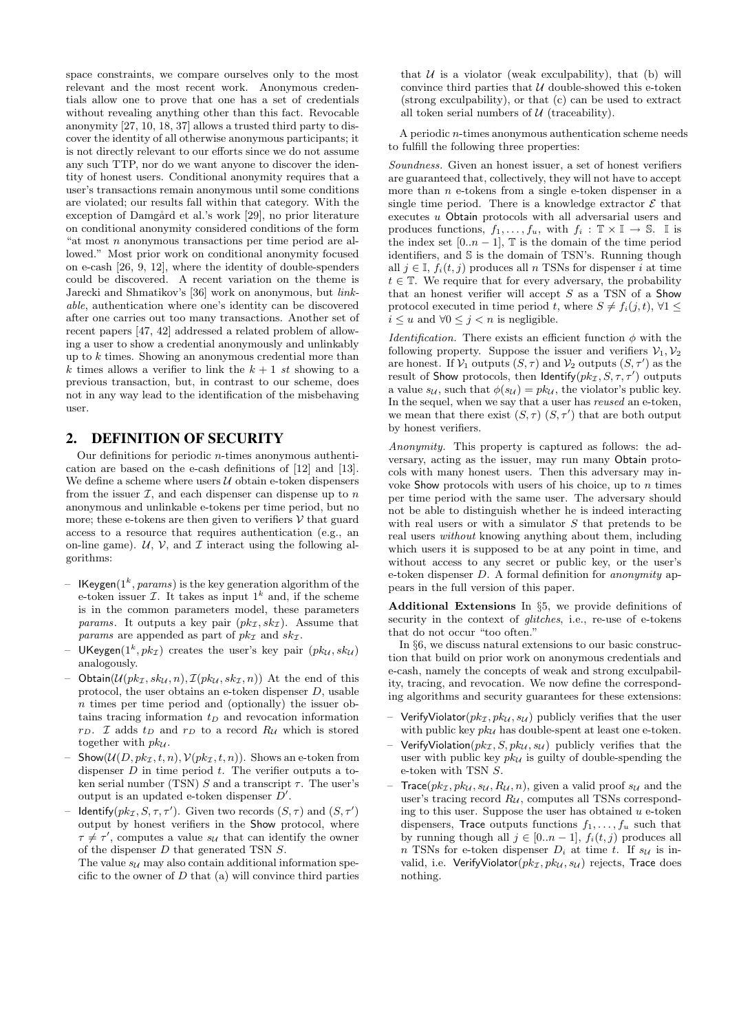space constraints, we compare ourselves only to the most relevant and the most recent work. Anonymous credentials allow one to prove that one has a set of credentials without revealing anything other than this fact. Revocable anonymity [27, 10, 18, 37] allows a trusted third party to discover the identity of all otherwise anonymous participants; it is not directly relevant to our efforts since we do not assume any such TTP, nor do we want anyone to discover the identity of honest users. Conditional anonymity requires that a user's transactions remain anonymous until some conditions are violated; our results fall within that category. With the exception of Damgård et al.'s work [29], no prior literature on conditional anonymity considered conditions of the form "at most  $n$  anonymous transactions per time period are allowed." Most prior work on conditional anonymity focused on e-cash [26, 9, 12], where the identity of double-spenders could be discovered. A recent variation on the theme is Jarecki and Shmatikov's [36] work on anonymous, but linkable, authentication where one's identity can be discovered after one carries out too many transactions. Another set of recent papers [47, 42] addressed a related problem of allowing a user to show a credential anonymously and unlinkably up to k times. Showing an anonymous credential more than k times allows a verifier to link the  $k + 1$  st showing to a previous transaction, but, in contrast to our scheme, does not in any way lead to the identification of the misbehaving user.

## 2. DEFINITION OF SECURITY

Our definitions for periodic  $n$ -times anonymous authentication are based on the e-cash definitions of [12] and [13]. We define a scheme where users  $U$  obtain e-token dispensers from the issuer  $\mathcal{I}$ , and each dispenser can dispense up to n anonymous and unlinkable e-tokens per time period, but no more; these e-tokens are then given to verifiers  $\mathcal V$  that guard access to a resource that requires authentication (e.g., an on-line game).  $U, V$ , and  $T$  interact using the following algorithms:

- IKeygen $(1^k,$  params) is the key generation algorithm of the e-token issuer  $\mathcal I$ . It takes as input  $1^k$  and, if the scheme is in the common parameters model, these parameters params. It outputs a key pair  $(pk_1, sk_1)$ . Assume that params are appended as part of  $pk<sub>\mathcal{I}</sub>$  and  $sk<sub>\mathcal{I}</sub>$ .
- UKeygen $(1^k, pk_\mathcal{I})$  creates the user's key pair  $(pk_\mathcal{U}, sk_\mathcal{U})$ analogously.
- Obtain( $\mathcal{U}(pk_{\mathcal{I}}, sk_{\mathcal{U}}, n), \mathcal{I}(pk_{\mathcal{U}}, sk_{\mathcal{I}}, n)$ ) At the end of this protocol, the user obtains an e-token dispenser D, usable n times per time period and (optionally) the issuer obtains tracing information  $t_D$  and revocation information  $r_D$ . *I* adds  $t_D$  and  $r_D$  to a record  $R_U$  which is stored together with  $pk_{\mathcal{U}}$ .
- Show $(\mathcal{U}(D, pk_{\mathcal{I}}, t, n), \mathcal{V}(pk_{\mathcal{I}}, t, n))$ . Shows an e-token from dispenser  $D$  in time period  $t$ . The verifier outputs a token serial number (TSN) S and a transcript  $\tau$ . The user's output is an updated e-token dispenser  $D'$ .
- Identify $(pk_{\mathcal{I}}, S, \tau, \tau')$ . Given two records  $(S, \tau)$  and  $(S, \tau')$ output by honest verifiers in the Show protocol, where  $\tau \neq \tau'$ , computes a value  $s_{\mathcal{U}}$  that can identify the owner of the dispenser D that generated TSN S.

The value  $s_{\mathcal{U}}$  may also contain additional information specific to the owner of  $D$  that (a) will convince third parties

that  $U$  is a violator (weak exculpability), that (b) will convince third parties that  $U$  double-showed this e-token (strong exculpability), or that (c) can be used to extract all token serial numbers of  $U$  (traceability).

A periodic n-times anonymous authentication scheme needs to fulfill the following three properties:

Soundness. Given an honest issuer, a set of honest verifiers are guaranteed that, collectively, they will not have to accept more than  $n$  e-tokens from a single e-token dispenser in a single time period. There is a knowledge extractor  $\mathcal E$  that executes u Obtain protocols with all adversarial users and produces functions,  $f_1, \ldots, f_u$ , with  $f_i : \mathbb{T} \times \mathbb{I} \to \mathbb{S}$ . I is the index set  $[0..n-1]$ ,  $\mathbb T$  is the domain of the time period identifiers, and S is the domain of TSN's. Running though all  $j \in \mathbb{I}$ ,  $f_i(t, j)$  produces all n TSNs for dispenser i at time  $t \in \mathbb{T}$ . We require that for every adversary, the probability that an honest verifier will accept  $S$  as a TSN of a Show protocol executed in time period t, where  $S \neq f_i(j, t)$ ,  $\forall 1 \leq$  $i \leq u$  and  $\forall 0 \leq j \leq n$  is negligible.

*Identification*. There exists an efficient function  $\phi$  with the following property. Suppose the issuer and verifiers  $\mathcal{V}_1, \mathcal{V}_2$ are honest. If  $\mathcal{V}_1$  outputs  $(S, \tau)$  and  $\mathcal{V}_2$  outputs  $(S, \tau')$  as the result of Show protocols, then Identify $(pk_{\mathcal{I}}, S, \tau, \tau')$  outputs a value  $s_{\mathcal{U}}$ , such that  $\phi(s_{\mathcal{U}}) = p k_{\mathcal{U}}$ , the violator's public key. In the sequel, when we say that a user has reused an e-token, we mean that there exist  $(S, \tau)$   $(S, \tau')$  that are both output by honest verifiers.

Anonymity. This property is captured as follows: the adversary, acting as the issuer, may run many Obtain protocols with many honest users. Then this adversary may invoke Show protocols with users of his choice, up to  $n$  times per time period with the same user. The adversary should not be able to distinguish whether he is indeed interacting with real users or with a simulator  $S$  that pretends to be real users without knowing anything about them, including which users it is supposed to be at any point in time, and without access to any secret or public key, or the user's e-token dispenser D. A formal definition for anonymity appears in the full version of this paper.

Additional Extensions In §5, we provide definitions of security in the context of *glitches*, i.e., re-use of e-tokens that do not occur "too often."

In §6, we discuss natural extensions to our basic construction that build on prior work on anonymous credentials and e-cash, namely the concepts of weak and strong exculpability, tracing, and revocation. We now define the corresponding algorithms and security guarantees for these extensions:

- VerifyViolator( $pk_{\mathcal{I}}, pk_{\mathcal{U}}, s_{\mathcal{U}}$ ) publicly verifies that the user with public key  $pk_{\mathcal{U}}$  has double-spent at least one e-token.
- VerifyViolation( $pk_{\mathcal{I}}, S, pk_{\mathcal{U}}, s_{\mathcal{U}}$ ) publicly verifies that the user with public key  $pk_{\mathcal{U}}$  is guilty of double-spending the e-token with TSN S.
- **Trace**( $pk_{\mathcal{I}}$ ,  $pk_{\mathcal{U}}$ ,  $s_{\mathcal{U}}$ ,  $R_{\mathcal{U}}$ , n), given a valid proof  $s_{\mathcal{U}}$  and the user's tracing record  $R_U$ , computes all TSNs corresponding to this user. Suppose the user has obtained  $u$  e-token dispensers, Trace outputs functions  $f_1, \ldots, f_u$  such that by running though all  $j \in [0..n-1]$ ,  $f_i(t, j)$  produces all n TSNs for e-token dispenser  $D_i$  at time t. If  $s_{\mathcal{U}}$  is invalid, i.e. VerifyViolator( $pk_{\mathcal{I}}, pk_{\mathcal{U}}, s_{\mathcal{U}}$ ) rejects, Trace does nothing.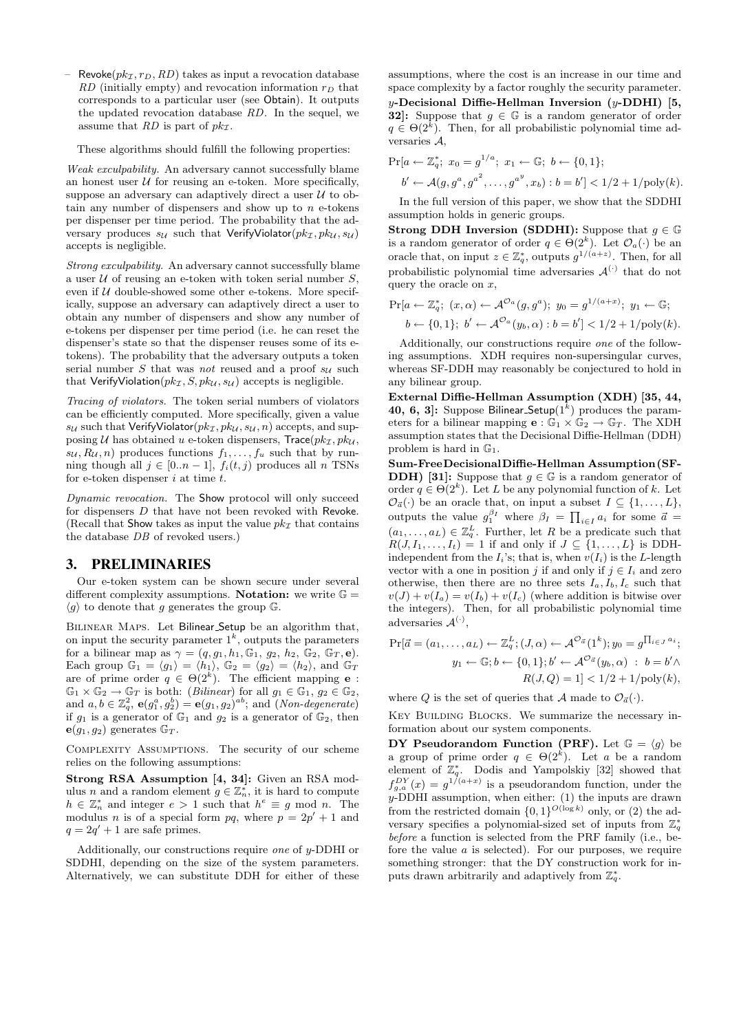$\mathsf{Revoke}(pk_\mathcal{I}, r_D, RD)$  takes as input a revocation database  $RD$  (initially empty) and revocation information  $r_D$  that corresponds to a particular user (see Obtain). It outputs the updated revocation database RD. In the sequel, we assume that  $RD$  is part of  $pk_{\mathcal{I}}$ .

These algorithms should fulfill the following properties:

Weak exculpability. An adversary cannot successfully blame an honest user  $U$  for reusing an e-token. More specifically, suppose an adversary can adaptively direct a user  $U$  to obtain any number of dispensers and show up to  $n$  e-tokens per dispenser per time period. The probability that the adversary produces  $s_{\mathcal{U}}$  such that VerifyViolator( $pk_{\mathcal{I}}$ ,  $pk_{\mathcal{U}}$ ,  $s_{\mathcal{U}}$ ) accepts is negligible.

Strong exculpability. An adversary cannot successfully blame a user  $U$  of reusing an e-token with token serial number  $S$ , even if  $U$  double-showed some other e-tokens. More specifically, suppose an adversary can adaptively direct a user to obtain any number of dispensers and show any number of e-tokens per dispenser per time period (i.e. he can reset the dispenser's state so that the dispenser reuses some of its etokens). The probability that the adversary outputs a token serial number S that was not reused and a proof  $s_{\mathcal{U}}$  such that VerifyViolation( $pk_{\mathcal{I}}$ ,  $S$ ,  $pk_{\mathcal{U}}$ ,  $s_{\mathcal{U}}$ ) accepts is negligible.

Tracing of violators. The token serial numbers of violators can be efficiently computed. More specifically, given a value  $s_{\mathcal{U}}$  such that VerifyViolator( $pk_{\mathcal{I}}, pk_{\mathcal{U}}, s_{\mathcal{U}}, n$ ) accepts, and supposing U has obtained u e-token dispensers,  $Trace(pk_{\tau}, pk_{\mathcal{U}})$  $s_{\mathcal{U}}, R_{\mathcal{U}}, n)$  produces functions  $f_1, \ldots, f_u$  such that by running though all  $j \in [0..n-1], f_i(t, j)$  produces all n TSNs for e-token dispenser  $i$  at time  $t$ .

Dynamic revocation. The Show protocol will only succeed for dispensers D that have not been revoked with Revoke. (Recall that Show takes as input the value  $pk_{\mathcal{I}}$  that contains the database DB of revoked users.)

#### 3. PRELIMINARIES

Our e-token system can be shown secure under several different complexity assumptions. Notation: we write  $\mathbb{G} =$  $\langle g \rangle$  to denote that g generates the group G.

BILINEAR MAPS. Let Bilinear\_Setup be an algorithm that, on input the security parameter  $1^k$ , outputs the parameters for a bilinear map as  $\gamma = (q, g_1, h_1, \mathbb{G}_1, g_2, h_2, \mathbb{G}_2, \mathbb{G}_T, \mathbf{e}).$ Each group  $\mathbb{G}_1 = \langle g_1 \rangle = \langle h_1 \rangle$ ,  $\mathbb{G}_2 = \langle g_2 \rangle = \langle h_2 \rangle$ , and  $\mathbb{G}_T$ are of prime order  $q \in \Theta(2^k)$ . The efficient mapping **e** :  $\mathbb{G}_1 \times \mathbb{G}_2 \to \mathbb{G}_T$  is both: (Bilinear) for all  $g_1 \in \mathbb{G}_1$ ,  $g_2 \in \mathbb{G}_2$ , and  $a, b \in \mathbb{Z}_q^2$ ,  $e(g_1^a, g_2^b) = e(g_1, g_2)^{ab}$ ; and (Non-degenerate) if  $g_1$  is a generator of  $\mathbb{G}_1$  and  $g_2$  is a generator of  $\mathbb{G}_2$ , then  $e(g_1, g_2)$  generates  $\mathbb{G}_T$ .

Complexity Assumptions. The security of our scheme relies on the following assumptions:

Strong RSA Assumption [4, 34]: Given an RSA modulus *n* and a random element  $g \in \mathbb{Z}_n^*$ , it is hard to compute  $h \in \mathbb{Z}_n^*$  and integer  $e > 1$  such that  $h^e \equiv g \mod n$ . The modulus *n* is of a special form pq, where  $p = 2p' + 1$  and  $q = 2q' + 1$  are safe primes.

Additionally, our constructions require one of y-DDHI or SDDHI, depending on the size of the system parameters. Alternatively, we can substitute DDH for either of these

assumptions, where the cost is an increase in our time and space complexity by a factor roughly the security parameter.  $y$ -Decisional Diffie-Hellman Inversion  $(y$ -DDHI) [5, **32**: Suppose that  $g \in \mathbb{G}$  is a random generator of order  $q \in \Theta(2^k)$ . Then, for all probabilistic polynomial time adversaries A,

$$
\Pr[a \leftarrow \mathbb{Z}_q^*; \ x_0 = g^{1/a}; \ x_1 \leftarrow \mathbb{G}; \ b \leftarrow \{0, 1\};
$$

$$
b' \leftarrow \mathcal{A}(g, g^a, g^{a^2}, \dots, g^{a^y}, x_b) : b = b'] < 1/2 + 1/\text{poly}(k).
$$

In the full version of this paper, we show that the SDDHI assumption holds in generic groups.

**Strong DDH Inversion (SDDHI):** Suppose that  $q \in \mathbb{G}$ is a random generator of order  $q \in \Theta(2^k)$ . Let  $\mathcal{O}_a(\cdot)$  be an oracle that, on input  $z \in \mathbb{Z}_q^*$ , outputs  $g^{1/(a+z)}$ . Then, for all probabilistic polynomial time adversaries  $\mathcal{A}^{(\cdot)}$  that do not query the oracle on  $x$ ,

$$
\Pr[a \leftarrow \mathbb{Z}_q^*; (x, \alpha) \leftarrow \mathcal{A}^{\mathcal{O}_a}(g, g^a); y_0 = g^{1/(a+x)}; y_1 \leftarrow \mathbb{G};b \leftarrow \{0, 1\}; b' \leftarrow \mathcal{A}^{\mathcal{O}_a}(y_b, \alpha) : b = b'] < 1/2 + 1/\text{poly}(k).
$$

Additionally, our constructions require one of the following assumptions. XDH requires non-supersingular curves, whereas SF-DDH may reasonably be conjectured to hold in any bilinear group.

External Diffie-Hellman Assumption (XDH) [35, 44, 40, 6, 3]: Suppose Bilinear\_Setup( $1^k$ ) produces the parameters for a bilinear mapping  $e : \mathbb{G}_1 \times \mathbb{G}_2 \to \mathbb{G}_T$ . The XDH assumption states that the Decisional Diffie-Hellman (DDH) problem is hard in G1.

Sum-FreeDecisionalDiffie-Hellman Assumption(SF-**DDH)** [31]: Suppose that  $g \in \mathbb{G}$  is a random generator of order  $q \in \Theta(2^k)$ . Let L be any polynomial function of k. Let  $\mathcal{O}_{\vec{a}}(\cdot)$  be an oracle that, on input a subset  $I \subseteq \{1, \ldots, L\},\$ outputs the value  $g_1^{\beta_I}$  where  $\beta_I = \prod_{i \in I} a_i$  for some  $\vec{a}$  =  $(a_1, \ldots, a_L) \in \mathbb{Z}_q^L$ . Further, let R be a predicate such that  $R(J, I_1, \ldots, I_t) = 1$  if and only if  $J \subseteq \{1, \ldots, L\}$  is DDHindependent from the  $I_i$ 's; that is, when  $v(I_i)$  is the L-length vector with a one in position j if and only if  $j \in I_i$  and zero otherwise, then there are no three sets  $I_a, I_b, I_c$  such that  $v(J) + v(I_a) = v(I_b) + v(I_c)$  (where addition is bitwise over the integers). Then, for all probabilistic polynomial time adversaries  $\mathcal{A}^{(\cdot)}$ ,

$$
\Pr[\vec{a} = (a_1, \dots, a_L) \leftarrow \mathbb{Z}_q^L; (J, \alpha) \leftarrow \mathcal{A}^{\mathcal{O}_{\vec{a}}}(1^k); y_0 = g^{\prod_{i \in J} a_i};
$$

$$
y_1 \leftarrow \mathbb{G}; b \leftarrow \{0, 1\}; b' \leftarrow \mathcal{A}^{\mathcal{O}_{\vec{a}}}(y_b, \alpha) : b = b' \wedge
$$

$$
R(J, Q) = 1] < 1/2 + 1/\text{poly}(k),
$$

where Q is the set of queries that A made to  $\mathcal{O}_{\vec{a}}(\cdot)$ .

KEY BUILDING BLOCKS. We summarize the necessary information about our system components.

DY Pseudorandom Function (PRF). Let  $\mathbb{G} = \langle g \rangle$  be a group of prime order  $q \in \Theta(2^k)$ . Let a be a random element of  $\mathbb{Z}_q^*$ . Dodis and Yampolskiy [32] showed that  $f_{g,a}^{DY}(x) = g^{1/(a+x)}$  is a pseudorandom function, under the  $y$ -DDHI assumption, when either: (1) the inputs are drawn from the restricted domain  $\{0,1\}^{O(\log k)}$  only, or (2) the adversary specifies a polynomial-sized set of inputs from  $\mathbb{Z}_q^*$ before a function is selected from the PRF family (i.e., before the value  $a$  is selected). For our purposes, we require something stronger: that the DY construction work for inputs drawn arbitrarily and adaptively from  $\mathbb{Z}_q^*$ .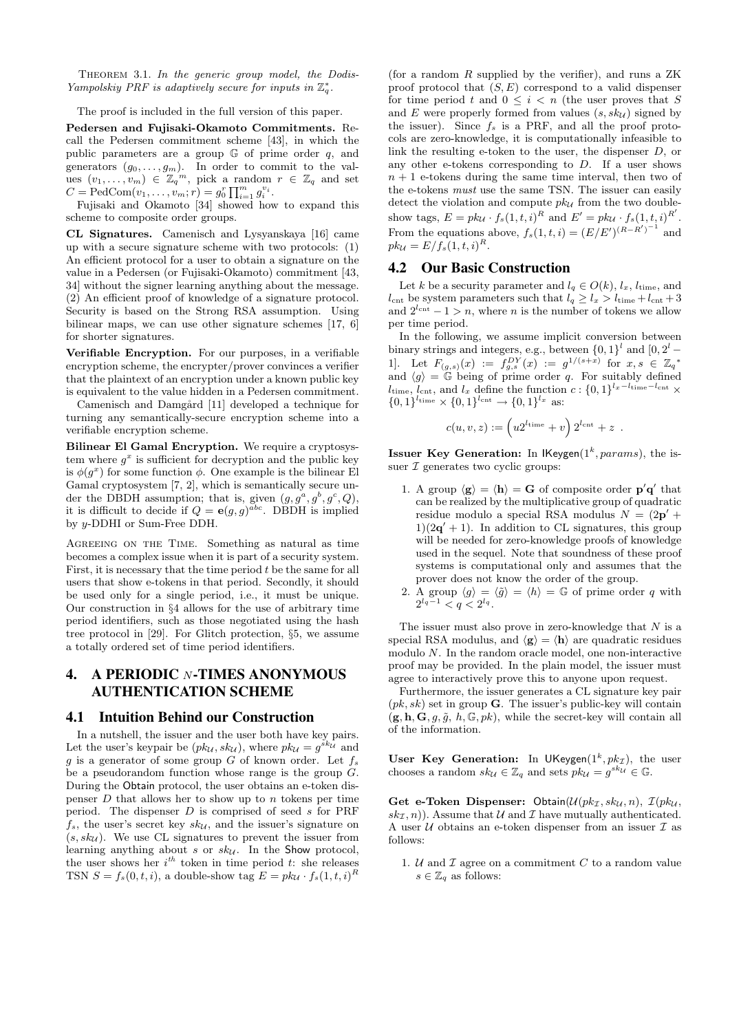THEOREM 3.1. In the generic group model, the Dodis-Yampolskiy PRF is adaptively secure for inputs in  $\mathbb{Z}_q^*$ .

The proof is included in the full version of this paper.

Pedersen and Fujisaki-Okamoto Commitments. Recall the Pedersen commitment scheme [43], in which the public parameters are a group  $\mathbb G$  of prime order  $q$ , and generators  $(g_0, \ldots, g_m)$ . In order to commit to the values  $(v_1, \ldots, v_m) \in \mathbb{Z}_q^m$ , pick a random  $r \in \mathbb{Z}_q$  and set  $C = \text{PedCom}(v_1, \ldots, v_m; r) = g_0^r \prod_{i=1}^m g_i^{v_i}.$ 

Fujisaki and Okamoto [34] showed how to expand this scheme to composite order groups.

CL Signatures. Camenisch and Lysyanskaya [16] came up with a secure signature scheme with two protocols: (1) An efficient protocol for a user to obtain a signature on the value in a Pedersen (or Fujisaki-Okamoto) commitment [43, 34] without the signer learning anything about the message. (2) An efficient proof of knowledge of a signature protocol. Security is based on the Strong RSA assumption. Using bilinear maps, we can use other signature schemes [17, 6] for shorter signatures.

Verifiable Encryption. For our purposes, in a verifiable encryption scheme, the encrypter/prover convinces a verifier that the plaintext of an encryption under a known public key is equivalent to the value hidden in a Pedersen commitment.

Camenisch and Damgård [11] developed a technique for turning any semantically-secure encryption scheme into a verifiable encryption scheme.

Bilinear El Gamal Encryption. We require a cryptosystem where  $g^x$  is sufficient for decryption and the public key is  $\phi(g^x)$  for some function  $\phi$ . One example is the bilinear El Gamal cryptosystem [7, 2], which is semantically secure under the DBDH assumption; that is, given  $(g, g^a, g^b, g^c, Q)$ , it is difficult to decide if  $Q = e(g, g)^{abc}$ . DBDH is implied by y-DDHI or Sum-Free DDH.

Agreeing on the Time. Something as natural as time becomes a complex issue when it is part of a security system. First, it is necessary that the time period  $t$  be the same for all users that show e-tokens in that period. Secondly, it should be used only for a single period, i.e., it must be unique. Our construction in §4 allows for the use of arbitrary time period identifiers, such as those negotiated using the hash tree protocol in [29]. For Glitch protection, §5, we assume a totally ordered set of time period identifiers.

# 4. A PERIODIC N-TIMES ANONYMOUS AUTHENTICATION SCHEME

## 4.1 Intuition Behind our Construction

In a nutshell, the issuer and the user both have key pairs. Let the user's keypair be  $(pku, sku)$ , where  $pku = g^{sku}$  and g is a generator of some group G of known order. Let  $f_s$ be a pseudorandom function whose range is the group  $G$ . During the Obtain protocol, the user obtains an e-token dispenser  $D$  that allows her to show up to  $n$  tokens per time period. The dispenser  $D$  is comprised of seed  $s$  for PRF  $f_s$ , the user's secret key  $sk_{\mathcal{U}}$ , and the issuer's signature on  $(s, sk_{\mathcal{U}})$ . We use CL signatures to prevent the issuer from learning anything about s or  $sku$ . In the Show protocol, the user shows her  $i^{th}$  token in time period t: she releases TSN  $S = f_s(0, t, i)$ , a double-show tag  $E = pk\mu \cdot f_s(1, t, i)^R$ 

(for a random  $R$  supplied by the verifier), and runs a  $ZK$ proof protocol that  $(S, E)$  correspond to a valid dispenser for time period t and  $0 \leq i \leq n$  (the user proves that S and E were properly formed from values  $(s, sk_{\mathcal{U}})$  signed by the issuer). Since  $f_s$  is a PRF, and all the proof protocols are zero-knowledge, it is computationally infeasible to link the resulting e-token to the user, the dispenser D, or any other e-tokens corresponding to  $D$ . If a user shows  $n + 1$  e-tokens during the same time interval, then two of the e-tokens must use the same TSN. The issuer can easily detect the violation and compute  $pk_{\mathcal{U}}$  from the two doubleshow tags,  $E = pk\iota \cdot f_s(1, t, i)^R$  and  $E' = pk\iota \cdot f_s(1, t, i)^{R'}$ . From the equations above,  $f_s(1,t,i) = (E/E')^{(R-R')^{-1}}$  and  $pk_{\mathcal{U}} = E/f_s(1, t, i)^R$ .

## 4.2 Our Basic Construction

Let k be a security parameter and  $l_q \in O(k)$ ,  $l_x$ ,  $l_{time}$ , and  $l_{\text{cnt}}$  be system parameters such that  $l_q \ge l_x > l_{\text{time}} + l_{\text{cnt}} + 3$ and  $2^{l_{\text{cnt}}} - 1 > n$ , where *n* is the number of tokens we allow per time period.

In the following, we assume implicit conversion between binary strings and integers, e.g., between  $\{0,1\}^l$  and  $[0,2^l-$ 1]. Let  $F_{(g,s)}(x) := f_{g,s}^{DY}(x) := g^{1/(s+x)}$  for  $x, s \in \mathbb{Z}_q^*$ and  $\langle g \rangle = \mathbb{G}$  being of prime order q. For suitably defined  $l_{\text{time}}$ ,  $l_{\text{cnt}}$ , and  $l_x$  define the function  $c: \{0,1\}^{l_x-l_{\text{time}}-l_{\text{cnt}}} \times$  $\{0,1\}^{l_{\text{time}}} \times \{0,1\}^{l_{\text{cnt}}} \to \{0,1\}^{l_x}$  as:

$$
c(u, v, z) := \left(u2^{l \text{time}} + v\right)2^{l \text{cnt}} + z.
$$

**Issuer Key Generation:** In  $K$ eygen( $1<sup>k</sup>$ , params), the issuer  $\mathcal I$  generates two cyclic groups:

- 1. A group  $\langle \mathbf{g} \rangle = \langle \mathbf{h} \rangle = \mathbf{G}$  of composite order  $\mathbf{p}'\mathbf{q}'$  that can be realized by the multiplicative group of quadratic residue modulo a special RSA modulus  $N = (2p' +$  $1(2q' + 1)$ . In addition to CL signatures, this group will be needed for zero-knowledge proofs of knowledge used in the sequel. Note that soundness of these proof systems is computational only and assumes that the prover does not know the order of the group.
- 2. A group  $\langle g \rangle = \langle \tilde{g} \rangle = \langle h \rangle = \mathbb{G}$  of prime order q with  $2^{l_q-1} < q < 2^{l_q}$ .

The issuer must also prove in zero-knowledge that  $N$  is a special RSA modulus, and  $\langle \mathbf{g} \rangle = \langle \mathbf{h} \rangle$  are quadratic residues modulo N. In the random oracle model, one non-interactive proof may be provided. In the plain model, the issuer must agree to interactively prove this to anyone upon request.

Furthermore, the issuer generates a CL signature key pair  $(pk, sk)$  set in group **G**. The issuer's public-key will contain  $(\mathbf{g}, \mathbf{h}, \mathbf{G}, g, \tilde{g}, h, \mathbb{G}, pk)$ , while the secret-key will contain all of the information.

User Key Generation: In UKeygen( $1^k$ ,  $pk_{\mathcal{I}}$ ), the user chooses a random  $sk_{\mathcal{U}} \in \mathbb{Z}_q$  and sets  $pk_{\mathcal{U}} = g^{sk_{\mathcal{U}}} \in \mathbb{G}$ .

Get e-Token Dispenser: Obtain( $U(\bar{p}k\tau, sk\mu, n)$ ,  $\mathcal{I}(p\bar{k}\mu, n)$  $sk_{\mathcal{I}}$ , n). Assume that U and I have mutually authenticated. A user  $U$  obtains an e-token dispenser from an issuer  $\mathcal I$  as follows:

1.  $U$  and  $\mathcal I$  agree on a commitment  $C$  to a random value  $s \in \mathbb{Z}_q$  as follows: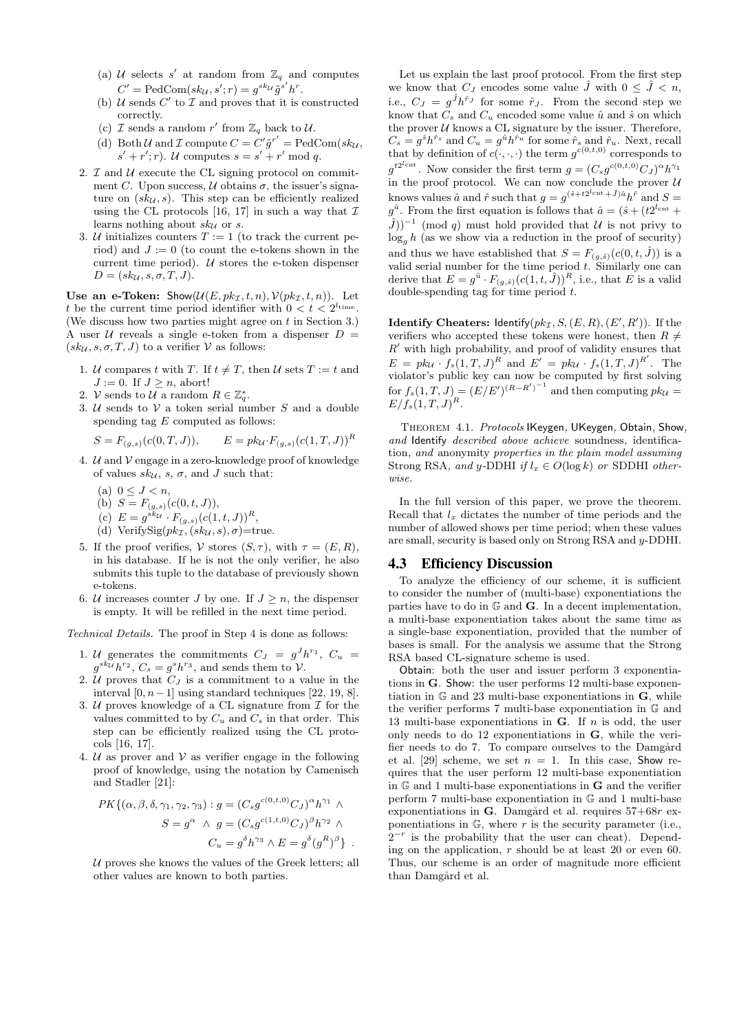- (a)  $U$  selects s' at random from  $\mathbb{Z}_q$  and computes  $C' = \text{PedCom}(sk_{\mathcal{U}}, s'; r) = g^{sk_{\mathcal{U}}}\tilde{g}^{s'}h^{r}.$
- (b)  $U$  sends  $C'$  to  $\mathcal I$  and proves that it is constructed correctly.
- (c)  $\mathcal I$  sends a random r' from  $\mathbb Z_q$  back to  $\mathcal U$ .
- (d) Both U and I compute  $C = C' \tilde{g}^{r'} = \text{PedCom}(sku,$  $s' + r'; r$ ). U computes  $s = s' + r' \mod q$ .
- 2.  $\mathcal I$  and  $\mathcal U$  execute the CL signing protocol on commitment C. Upon success,  $\mathcal U$  obtains  $\sigma$ , the issuer's signature on  $(sk_{\mathcal{U}}, s)$ . This step can be efficiently realized using the CL protocols [16, 17] in such a way that  $\mathcal I$ learns nothing about  $sk_{\mathcal{U}}$  or s.
- 3. *U* initializes counters  $T := 1$  (to track the current period) and  $J := 0$  (to count the e-tokens shown in the current time period).  $U$  stores the e-token dispenser  $D = (sk_{\mathcal{U}}, s, \sigma, T, J).$

Use an e-Token: Show $(\mathcal{U}(E, pk_{\mathcal{I}}, t, n), \mathcal{V}(pk_{\mathcal{I}}, t, n))$ . Let t be the current time period identifier with  $0 < t < 2^{l_{\text{time}}}$ . (We discuss how two parties might agree on t in Section 3.) A user U reveals a single e-token from a dispenser  $D =$  $(k\mathcal{U}, s, \sigma, T, J)$  to a verifier V as follows:

- 1. *U* compares t with T. If  $t \neq T$ , then *U* sets  $T := t$  and  $J := 0$ . If  $J \geq n$ , abort!
- 2. V sends to U a random  $R \in \mathbb{Z}_q^*$ .
- 3.  $U$  sends to  $V$  a token serial number  $S$  and a double spending tag  $E$  computed as follows:

$$
S = F_{(g,s)}(c(0,T,J)), \qquad E = pk_{\mathcal{U}} \cdot F_{(g,s)}(c(1,T,J))^R
$$

- 4.  $U$  and  $V$  engage in a zero-knowledge proof of knowledge of values  $sk_{\mathcal{U}}$ , s,  $\sigma$ , and J such that:
	- (a)  $0 \leq J < n$ ,
	- (b)  $S = F_{(g,s)}(c(0,t,J)),$

(c) 
$$
E = g^{sku} \cdot F_{(g,s)}(c(1,t,J))^R
$$
,

- (d) VerifySig( $pk_{\mathcal{I}}$ ,  $(sk_{\mathcal{U}}$ ,  $s$ ),  $\sigma$ )=true.
- 5. If the proof verifies,  $V$  stores  $(S, \tau)$ , with  $\tau = (E, R)$ , in his database. If he is not the only verifier, he also submits this tuple to the database of previously shown e-tokens.
- 6. *U* increases counter *J* by one. If  $J \geq n$ , the dispenser is empty. It will be refilled in the next time period.

Technical Details. The proof in Step 4 is done as follows:

- 1. U generates the commitments  $C_J = g^J h^{r_1}$ ,  $C_u =$  $g^{sku}h^{r_2}, C_s = g^s h^{r_3}$ , and sends them to  $\mathcal{V}$ .
- 2. U proves that  $C_J$  is a commitment to a value in the interval [0, n−1] using standard techniques [22, 19, 8].
- 3.  $U$  proves knowledge of a CL signature from  $I$  for the values committed to by  $C_u$  and  $C_s$  in that order. This step can be efficiently realized using the CL protocols [16, 17].
- 4.  $U$  as prover and  $V$  as verifier engage in the following proof of knowledge, using the notation by Camenisch and Stadler [21]:

$$
PK\{(\alpha, \beta, \delta, \gamma_1, \gamma_2, \gamma_3) : g = (C_s g^{c(0, t, 0)} C_J)^{\alpha} h^{\gamma_1} \wedge
$$
  

$$
S = g^{\alpha} \wedge g = (C_s g^{c(1, t, 0)} C_J)^{\beta} h^{\gamma_2} \wedge
$$
  

$$
C_u = g^{\delta} h^{\gamma_3} \wedge E = g^{\delta} (g^R)^{\beta} \} .
$$

 $U$  proves she knows the values of the Greek letters; all other values are known to both parties.

Let us explain the last proof protocol. From the first step we know that  $C_J$  encodes some value  $\hat{J}$  with  $0 \leq \hat{J} < n$ , i.e.,  $C_J = g^{\hat{J}} h^{\hat{r}_J}$  for some  $\hat{r}_J$ . From the second step we know that  $C_s$  and  $C_u$  encoded some value  $\hat{u}$  and  $\hat{s}$  on which the prover  $U$  knows a CL signature by the issuer. Therefore,  $C_s = g^{\hat{s}} h^{\hat{r}_s}$  and  $C_u = g^{\hat{u}} h^{\hat{r}_u}$  for some  $\hat{r}_s$  and  $\hat{r}_u$ . Next, recall that by definition of  $c(\cdot, \cdot, \cdot)$  the term  $g^{c(0,t,0)}$  corresponds to  $g^{t2^{l_{\text{cnt}}}}$ . Now consider the first term  $g = (C_s g^{c(0,t,0)} C_J)^{\alpha} h^{\gamma_1}$ in the proof protocol. We can now conclude the prover  $U$ knows values  $\hat{a}$  and  $\hat{r}$  such that  $g = g^{(\hat{s} + t2^{l_{\text{cnt}}} + \hat{J})\hat{a}} h^{\hat{r}}$  and  $S =$  $g^{\hat{a}}$ . From the first equation is follows that  $\hat{a} = (\hat{s} + (t2^{l_{\text{cnt}}} +$  $(\hat{J})^{-1}$  (mod q) must hold provided that  $\mathcal U$  is not privy to  $\log_q h$  (as we show via a reduction in the proof of security) and thus we have established that  $S = F_{(g,\hat{s})}(c(0,t,\hat{J}))$  is a valid serial number for the time period  $t$ . Similarly one can derive that  $E = g^{\hat{u}} \cdot F_{(g,\hat{s})}(c(1,t,\hat{J}))^R$ , i.e., that E is a valid double-spending tag for time period  $t$ .

**Identify Cheaters:** Identify $(pk_{\mathcal{I}}, S, (E, R), (E', R'))$ . If the verifiers who accepted these tokens were honest, then  $R \neq$  $R'$  with high probability, and proof of validity ensures that  $E = pk_\mathcal{U} \cdot f_s(1,T,J)^R$  and  $E' = pk_\mathcal{U} \cdot f_s(1,T,J)^{R'}$ . The violator's public key can now be computed by first solving for  $f_s(1,T,J) = (E/E')^{(R-R')^{-1}}$  and then computing  $pk_u =$  $E/f_s(1,T,J)^R$ .

THEOREM 4.1. Protocols IKeygen, UKeygen, Obtain, Show, and Identify described above achieve soundness, identification, and anonymity properties in the plain model assuming Strong RSA, and y-DDHI if  $l_x \in O(\log k)$  or SDDHI otherwise.

In the full version of this paper, we prove the theorem. Recall that  $l_x$  dictates the number of time periods and the number of allowed shows per time period; when these values are small, security is based only on Strong RSA and y-DDHI.

## 4.3 Efficiency Discussion

To analyze the efficiency of our scheme, it is sufficient to consider the number of (multi-base) exponentiations the parties have to do in  $\mathbb{G}$  and  $\mathbf{G}$ . In a decent implementation, a multi-base exponentiation takes about the same time as a single-base exponentiation, provided that the number of bases is small. For the analysis we assume that the Strong RSA based CL-signature scheme is used.

Obtain: both the user and issuer perform 3 exponentiations in G. Show: the user performs 12 multi-base exponentiation in  $\mathbb{G}$  and 23 multi-base exponentiations in  $\mathbf{G}$ , while the verifier performs 7 multi-base exponentiation in G and 13 multi-base exponentiations in  $G$ . If n is odd, the user only needs to do 12 exponentiations in G, while the verifier needs to do 7. To compare ourselves to the Damgård et al. [29] scheme, we set  $n = 1$ . In this case, Show requires that the user perform 12 multi-base exponentiation in G and 1 multi-base exponentiations in G and the verifier perform 7 multi-base exponentiation in G and 1 multi-base exponentiations in G. Damgård et al. requires  $57+68r$  exponentiations in  $\mathbb{G}$ , where r is the security parameter (i.e.,  $2^{-r}$  is the probability that the user can cheat). Depending on the application,  $r$  should be at least 20 or even 60. Thus, our scheme is an order of magnitude more efficient than Damgård et al.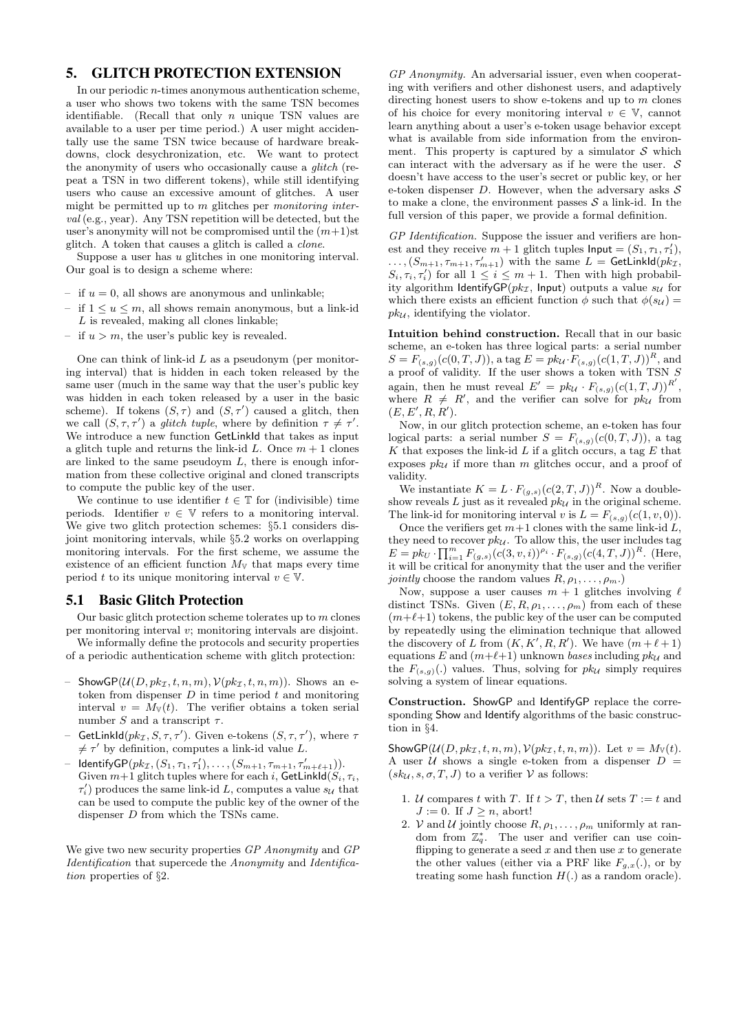# 5. GLITCH PROTECTION EXTENSION

In our periodic n-times anonymous authentication scheme, a user who shows two tokens with the same TSN becomes identifiable. (Recall that only  $n$  unique TSN values are available to a user per time period.) A user might accidentally use the same TSN twice because of hardware breakdowns, clock desychronization, etc. We want to protect the anonymity of users who occasionally cause a glitch (repeat a TSN in two different tokens), while still identifying users who cause an excessive amount of glitches. A user might be permitted up to  $m$  glitches per *monitoring inter*val (e.g., year). Any TSN repetition will be detected, but the user's anonymity will not be compromised until the  $(m+1)$ st glitch. A token that causes a glitch is called a clone.

Suppose a user has u glitches in one monitoring interval. Our goal is to design a scheme where:

- if  $u = 0$ , all shows are anonymous and unlinkable;
- if 1 ≤ u ≤ m, all shows remain anonymous, but a link-id  $L$  is revealed, making all clones linkable;
- if  $u > m$ , the user's public key is revealed.

One can think of link-id  $L$  as a pseudonym (per monitoring interval) that is hidden in each token released by the same user (much in the same way that the user's public key was hidden in each token released by a user in the basic scheme). If tokens  $(S, \tau)$  and  $(S, \tau')$  caused a glitch, then we call  $(S, \tau, \tau')$  a glitch tuple, where by definition  $\tau \neq \tau'$ . We introduce a new function GetLinkId that takes as input a glitch tuple and returns the link-id  $L$ . Once  $m + 1$  clones are linked to the same pseudoym  $L$ , there is enough information from these collective original and cloned transcripts to compute the public key of the user.

We continue to use identifier  $t \in \mathbb{T}$  for (indivisible) time periods. Identifier  $v \in V$  refers to a monitoring interval. We give two glitch protection schemes: §5.1 considers disjoint monitoring intervals, while §5.2 works on overlapping monitoring intervals. For the first scheme, we assume the existence of an efficient function  $M_{\rm V}$  that maps every time period t to its unique monitoring interval  $v \in \mathbb{V}$ .

## 5.1 Basic Glitch Protection

Our basic glitch protection scheme tolerates up to  $m$  clones per monitoring interval v; monitoring intervals are disjoint.

We informally define the protocols and security properties of a periodic authentication scheme with glitch protection:

- ShowGP( $U(D, pk_{\mathcal{I}}, t, n, m)$ ,  $V(pk_{\mathcal{I}}, t, n, m)$ ). Shows an etoken from dispenser  $D$  in time period  $t$  and monitoring interval  $v = M_{\mathbb{V}}(t)$ . The verifier obtains a token serial number  $S$  and a transcript  $\tau$ .
- GetLinkId $(pk_{\mathcal{I}}, S, \tau, \tau')$ . Given e-tokens  $(S, \tau, \tau')$ , where  $\tau$  $\neq \tau'$  by definition, computes a link-id value L.
- $-$  Identify $\mathsf{GP}(pk_\mathcal{I}, \langle S_1, \tau_1, \tau'_1 \rangle, \ldots, \langle S_{m+1}, \tau_{m+1}, \tau'_{m+\ell+1} \rangle).$ Given  $m+1$  glitch tuples where for each i, GetLinkId( $S_i, \tau_i$ ,  $\tau'_{i}$ ) produces the same link-id L, computes a value  $s_{\mathcal{U}}$  that can be used to compute the public key of the owner of the dispenser D from which the TSNs came.

We give two new security properties  $GP$  Anonymity and  $GP$ Identification that supercede the Anonymity and Identification properties of §2.

GP Anonymity. An adversarial issuer, even when cooperating with verifiers and other dishonest users, and adaptively directing honest users to show e-tokens and up to m clones of his choice for every monitoring interval  $v \in V$ , cannot learn anything about a user's e-token usage behavior except what is available from side information from the environment. This property is captured by a simulator  $\mathcal S$  which can interact with the adversary as if he were the user.  $S$ doesn't have access to the user's secret or public key, or her e-token dispenser  $D$ . However, when the adversary asks  $S$ to make a clone, the environment passes  $S$  a link-id. In the full version of this paper, we provide a formal definition.

GP Identification. Suppose the issuer and verifiers are honest and they receive  $m + 1$  glitch tuples  $\mathsf{Input} = (S_1, \tau_1, \tau_1'),$  $\dots, (S_{m+1}, \tau_{m+1}, \tau'_{m+1})$  with the same  $L = \textsf{GetLinkId}(pk_{\mathcal{I}},$  $S_i, \tau_i, \tau'_i$  for all  $1 \leq i \leq m+1$ . Then with high probability algorithm IdentifyGP( $pk_{\mathcal{I}}$ , Input) outputs a value  $s_{\mathcal{U}}$  for which there exists an efficient function  $\phi$  such that  $\phi(s_{\mathcal{U}})$  =  $pk_{\mathcal{U}}$ , identifying the violator.

Intuition behind construction. Recall that in our basic scheme, an e-token has three logical parts: a serial number  $S = F_{(s,q)}(c(0,T,J))$ , a tag  $E = pk_{\mathcal{U}} \cdot F_{(s,q)}(c(1,T,J))^R$ , and a proof of validity. If the user shows a token with TSN S again, then he must reveal  $E' = pk_{\mathcal{U}} \cdot F_{(s,g)}(c(1,T,J))^{R'}$ , where  $R \neq R'$ , and the verifier can solve for  $pk_{\mathcal{U}}$  from  $(E, E', R, R').$ 

Now, in our glitch protection scheme, an e-token has four logical parts: a serial number  $S = F_{(s,g)}(c(0,T,J))$ , a tag K that exposes the link-id L if a glitch occurs, a tag E that exposes  $pk_{\mathcal{U}}$  if more than m glitches occur, and a proof of validity.

We instantiate  $K = L \cdot F_{(g,s)}(c(2,T,J))^R$ . Now a doubleshow reveals L just as it revealed  $pku$  in the original scheme. The link-id for monitoring interval v is  $L = F_{(s,q)}(c(1,v,0))$ .

Once the verifiers get  $m+1$  clones with the same link-id  $L$ , they need to recover  $pk_{\mathcal{U}}$ . To allow this, the user includes tag  $E = pk_U \cdot \prod_{i=1}^{m} F_{(g,s)}(c(3,v,i))^{\rho_i} \cdot F_{(s,g)}(c(4,T,J))^R$ . (Here, it will be critical for anonymity that the user and the verifier *jointly* choose the random values  $R, \rho_1, \ldots, \rho_m$ .)

Now, suppose a user causes  $m + 1$  glitches involving  $\ell$ distinct TSNs. Given  $(E, R, \rho_1, \ldots, \rho_m)$  from each of these  $(m+\ell+1)$  tokens, the public key of the user can be computed by repeatedly using the elimination technique that allowed the discovery of L from  $(K, K', R, R')$ . We have  $(m + \ell + 1)$ equations E and  $(m+\ell+1)$  unknown bases including  $pk_{\mathcal{U}}$  and the  $F_{(s,q)}(.)$  values. Thus, solving for  $pk_{\mathcal{U}}$  simply requires solving a system of linear equations.

Construction. ShowGP and IdentifyGP replace the corresponding Show and Identify algorithms of the basic construction in §4.

ShowGP( $U(D, pk_{\mathcal{I}}, t, n, m)$ ,  $V(pk_{\mathcal{I}}, t, n, m)$ ). Let  $v = M_{\mathbb{V}}(t)$ . A user  $\mathcal U$  shows a single e-token from a dispenser  $D =$  $(ku, s, \sigma, T, J)$  to a verifier V as follows:

- 1. *U* compares t with T. If  $t > T$ , then U sets  $T := t$  and  $J := 0$ . If  $J \geq n$ , abort!
- 2. V and U jointly choose  $R, \rho_1, \ldots, \rho_m$  uniformly at random from  $\mathbb{Z}_q^*$ . The user and verifier can use coinflipping to generate a seed  $x$  and then use  $x$  to generate the other values (either via a PRF like  $F_{q,x}(.)$ , or by treating some hash function  $H(.)$  as a random oracle).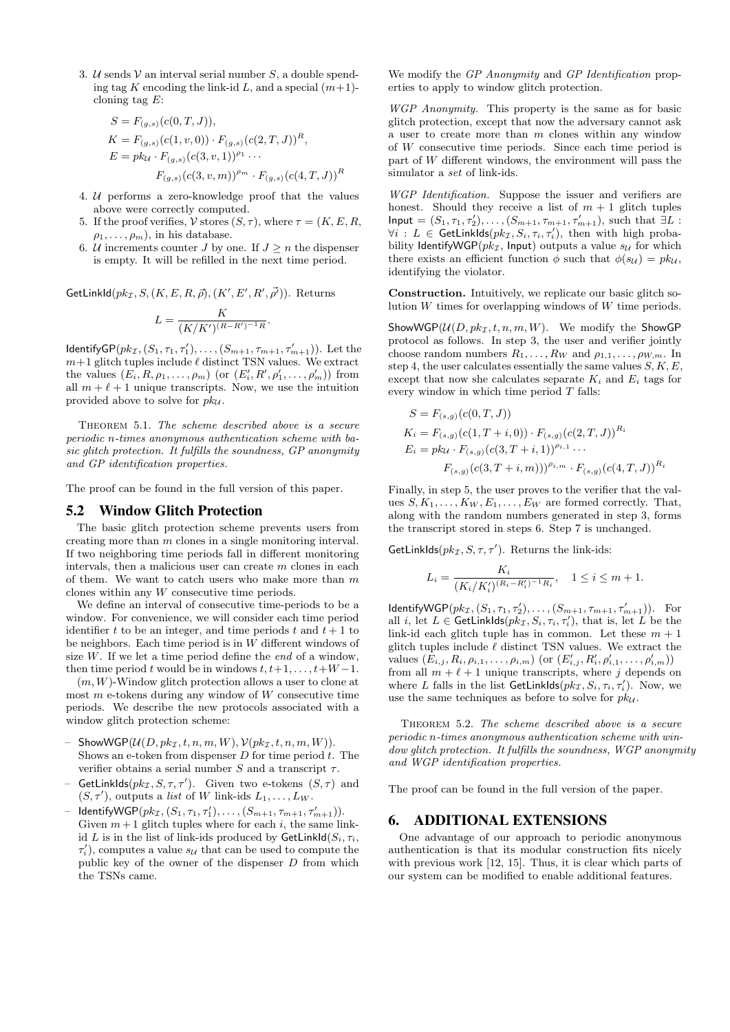3.  $U$  sends  $V$  an interval serial number  $S$ , a double spending tag K encoding the link-id L, and a special  $(m+1)$ cloning tag  $E$ :

$$
S = F_{(g,s)}(c(0,T,J)),
$$
  
\n
$$
K = F_{(g,s)}(c(1,v,0)) \cdot F_{(g,s)}(c(2,T,J))^R,
$$
  
\n
$$
E = pku \cdot F_{(g,s)}(c(3,v,1))^{\rho_1} \cdots
$$
  
\n
$$
F_{(g,s)}(c(3,v,m))^{\rho_m} \cdot F_{(g,s)}(c(4,T,J))^R
$$

- 4. U performs a zero-knowledge proof that the values above were correctly computed.
- 5. If the proof verifies,  $V$  stores  $(S, \tau)$ , where  $\tau = (K, E, R, \tau)$  $\rho_1, \ldots, \rho_m$ , in his database.
- 6. *U* increments counter *J* by one. If  $J \geq n$  the dispenser is empty. It will be refilled in the next time period.

GetLinkld $(pk_{\mathcal{I}}, S, (K, E, R, \vec{\rho}), (K', E', R', \vec{\rho}'))$ . Returns

$$
L = \frac{K}{(K/K')^{(R-R')^{-1}R}}.
$$

Identify $\mathsf{GP}(pk_\mathcal{I}, (S_1, \tau_1, \tau'_1), \ldots, (S_{m+1}, \tau_{m+1}, \tau'_{m+1}))$ . Let the  $m+1$  glitch tuples include  $\ell$  distinct TSN values. We extract the values  $(E_i, R, \rho_1, \ldots, \rho_m)$  (or  $(E'_i, R', \rho'_1, \ldots, \rho'_m)$ ) from all  $m + \ell + 1$  unique transcripts. Now, we use the intuition provided above to solve for  $pk_{\mathcal{U}}$ .

THEOREM 5.1. The scheme described above is a secure periodic n-times anonymous authentication scheme with basic glitch protection. It fulfills the soundness, GP anonymity and GP identification properties.

The proof can be found in the full version of this paper.

#### 5.2 Window Glitch Protection

The basic glitch protection scheme prevents users from creating more than m clones in a single monitoring interval. If two neighboring time periods fall in different monitoring intervals, then a malicious user can create m clones in each of them. We want to catch users who make more than  $m$ clones within any W consecutive time periods.

We define an interval of consecutive time-periods to be a window. For convenience, we will consider each time period identifier t to be an integer, and time periods t and  $t + 1$  to be neighbors. Each time period is in  $W$  different windows of size  $W$ . If we let a time period define the *end* of a window, then time period t would be in windows  $t, t+1, \ldots, t+W-1$ .

 $(m, W)$ -Window glitch protection allows a user to clone at most  $m$  e-tokens during any window of  $W$  consecutive time periods. We describe the new protocols associated with a window glitch protection scheme:

- ShowWGP( $U(D, pk_{\mathcal{I}}, t, n, m, W)$ ,  $V(pk_{\mathcal{I}}, t, n, m, W)$ ). Shows an e-token from dispenser  $D$  for time period  $t$ . The verifier obtains a serial number S and a transcript  $\tau$ .
- GetLinkIds( $pk_{\mathcal{I}}, S, \tau, \tau'$ ). Given two e-tokens  $(S, \tau)$  and  $(S, \tau')$ , outputs a *list* of W link-ids  $L_1, \ldots, L_W$ .
- Identify $\mathsf{WGP}(pk_\mathcal{I}, (S_1, \tau_1, \tau'_1), \dots, (S_{m+1}, \tau_{m+1}, \tau'_{m+1})).$ Given  $m+1$  glitch tuples where for each i, the same linkid L is in the list of link-ids produced by  $\mathsf{GetLinkId}(S_i, \tau_i)$ ,  $\tau_i'$ , computes a value  $s_{\mathcal{U}}$  that can be used to compute the public key of the owner of the dispenser D from which the TSNs came.

We modify the GP Anonymity and GP Identification properties to apply to window glitch protection.

WGP Anonymity. This property is the same as for basic glitch protection, except that now the adversary cannot ask a user to create more than  $m$  clones within any window of W consecutive time periods. Since each time period is part of W different windows, the environment will pass the simulator a set of link-ids.

WGP Identification. Suppose the issuer and verifiers are honest. Should they receive a list of  $m + 1$  glitch tuples Input =  $(S_1, \tau_1, \tau_2'), \ldots, (S_{m+1}, \tau_{m+1}, \tau_{m+1}'),$  such that  $\exists L$ :  $\forall i: L \in \mathsf{GetLinklds}(pk_{\mathcal{I}}, S_i, \tau_i, \tau'_i),$  then with high probability IdentifyWGP( $pk_{\mathcal{I}}$ , Input) outputs a value  $s_{\mathcal{U}}$  for which there exists an efficient function  $\phi$  such that  $\phi(s_{\mathcal{U}}) = p k_{\mathcal{U}}$ , identifying the violator.

Construction. Intuitively, we replicate our basic glitch solution  $W$  times for overlapping windows of  $W$  time periods.

 $ShowWGP(\mathcal{U}(D, pk_{\mathcal{I}}, t, n, m, W)$ . We modify the ShowGP protocol as follows. In step 3, the user and verifier jointly choose random numbers  $R_1, \ldots, R_W$  and  $\rho_{1,1}, \ldots, \rho_{W,m}$ . In step 4, the user calculates essentially the same values  $S, K, E$ , except that now she calculates separate  $K_i$  and  $E_i$  tags for every window in which time period  $T$  falls:

$$
S = F_{(s,g)}(c(0,T,J))
$$
  
\n
$$
K_i = F_{(s,g)}(c(1,T+i,0)) \cdot F_{(s,g)}(c(2,T,J))^{R_i}
$$
  
\n
$$
E_i = pk_{\mathcal{U}} \cdot F_{(s,g)}(c(3,T+i,1))^{p_{i,1}} \cdots
$$
  
\n
$$
F_{(s,g)}(c(3,T+i,m)))^{p_{i,m}} \cdot F_{(s,g)}(c(4,T,J))^{R_i}
$$

Finally, in step 5, the user proves to the verifier that the values  $S, K_1, \ldots, K_W, E_1, \ldots, E_W$  are formed correctly. That, along with the random numbers generated in step 3, forms the transcript stored in steps 6. Step 7 is unchanged.

GetLinkIds( $pk_{\mathcal{I}}, S, \tau, \tau'$ ). Returns the link-ids:

$$
L_i = \frac{K_i}{(K_i/K_i')(R_i - R_i')^{-1}R_i}, \quad 1 \le i \le m+1.
$$

Identify WGP( $pk_{\mathcal{I}}, (S_1, \tau_1, \tau'_2), \ldots, (S_{m+1}, \tau_{m+1}, \tau'_{m+1})$ ). For all *i*, let  $L \in \mathsf{GetLinklds}(pk_\mathcal{I}, S_i, \tau_i, \tau'_i)$ , that is, let  $L$  be the link-id each glitch tuple has in common. Let these  $m + 1$ glitch tuples include  $\ell$  distinct TSN values. We extract the values  $(E_{i,j}, R_i, \rho_{i,1}, \ldots, \rho_{i,m})$  (or  $(E'_{i,j}, R'_i, \rho'_{i,1}, \ldots, \rho'_{i,m})$ ) from all  $m + \ell + 1$  unique transcripts, where j depends on where L falls in the list  $\mathsf{GetLinklds}(pk_\mathcal{I}, S_i, \tau_i, \tau'_i)$ . Now, we use the same techniques as before to solve for  $pk_{\mathcal{U}}$ .

Theorem 5.2. The scheme described above is a secure periodic n-times anonymous authentication scheme with window glitch protection. It fulfills the soundness, WGP anonymity and WGP identification properties.

The proof can be found in the full version of the paper.

#### 6. ADDITIONAL EXTENSIONS

One advantage of our approach to periodic anonymous authentication is that its modular construction fits nicely with previous work [12, 15]. Thus, it is clear which parts of our system can be modified to enable additional features.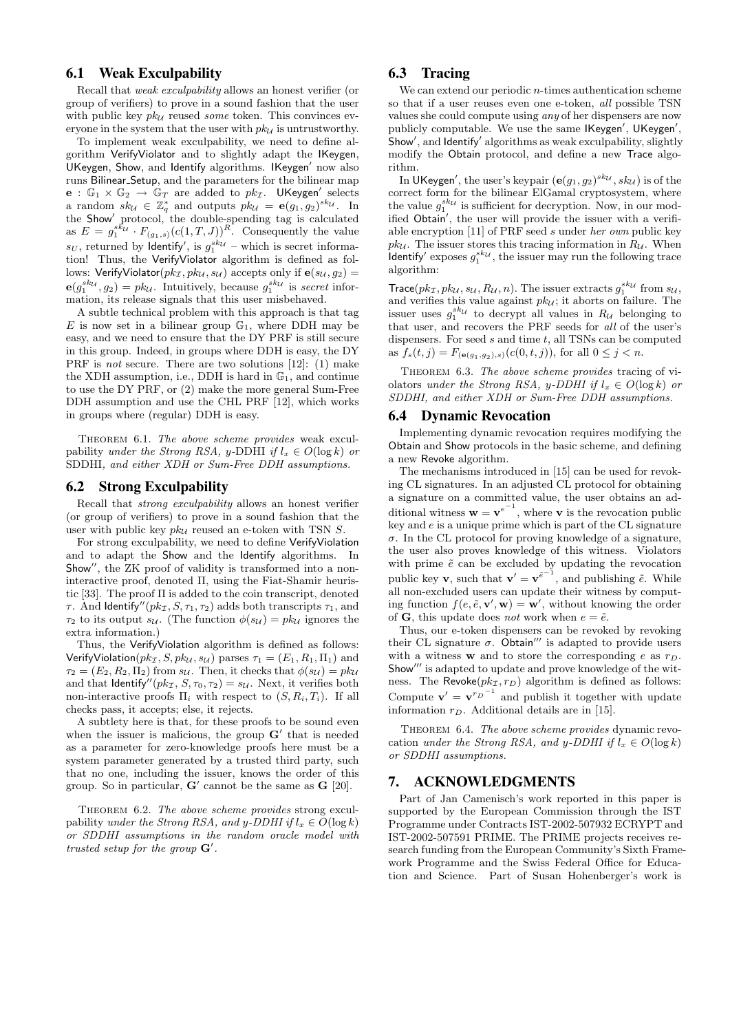## 6.1 Weak Exculpability

Recall that weak exculpability allows an honest verifier (or group of verifiers) to prove in a sound fashion that the user with public key  $pk_{\mathcal{U}}$  reused some token. This convinces everyone in the system that the user with  $pk_{\mathcal{U}}$  is untrustworthy.

To implement weak exculpability, we need to define algorithm VerifyViolator and to slightly adapt the IKeygen, UKeygen, Show, and Identify algorithms. IKeygen' now also runs Bilinear Setup, and the parameters for the bilinear map  $e : \mathbb{G}_1 \times \mathbb{G}_2 \to \mathbb{G}_T$  are added to  $pk_{\mathcal{I}}$ . UKeygen' selects a random  $sk_{\mathcal{U}} \in \mathbb{Z}_q^*$  and outputs  $pk_{\mathcal{U}} = \mathbf{e}(g_1, g_2)^{sk_{\mathcal{U}}}$ . In the Show' protocol, the double-spending tag is calculated as  $E = g_1^{s \hat{k}_U} \cdot F_{(g_1,s)}(c(1,T,J))$ <sup>R</sup>. Consequently the value  $s_U$ , returned by Identify', is  $g_1^{sk_U}$  – which is secret information! Thus, the VerifyViolator algorithm is defined as follows: VerifyViolator( $pk_{\mathcal{I}}, pk_{\mathcal{U}}, s_{\mathcal{U}}$ ) accepts only if  $e(s_{\mathcal{U}}, g_2)$  =  $\mathbf{e}(g_1^{sk_{\mathcal{U}}}, g_2) = pk_{\mathcal{U}}$ . Intuitively, because  $g_1^{sk_{\mathcal{U}}}$  is secret information, its release signals that this user misbehaved.

A subtle technical problem with this approach is that tag E is now set in a bilinear group  $\mathbb{G}_1$ , where DDH may be easy, and we need to ensure that the DY PRF is still secure in this group. Indeed, in groups where DDH is easy, the DY PRF is not secure. There are two solutions [12]: (1) make the XDH assumption, i.e., DDH is hard in  $\mathbb{G}_1$ , and continue to use the DY PRF, or (2) make the more general Sum-Free DDH assumption and use the CHL PRF [12], which works in groups where (regular) DDH is easy.

THEOREM 6.1. The above scheme provides weak exculpability under the Strong RSA, y-DDHI if  $l_x \in O(\log k)$  or SDDHI, and either XDH or Sum-Free DDH assumptions.

#### 6.2 Strong Exculpability

Recall that strong exculpability allows an honest verifier (or group of verifiers) to prove in a sound fashion that the user with public key  $pk_{\mathcal{U}}$  reused an e-token with TSN S.

For strong exculpability, we need to define VerifyViolation and to adapt the Show and the Identify algorithms. In Show", the ZK proof of validity is transformed into a noninteractive proof, denoted Π, using the Fiat-Shamir heuristic [33]. The proof  $\Pi$  is added to the coin transcript, denoted τ. And Identify<sup>''</sup>( $pk_1$ ,  $S$ ,  $τ_1$ ,  $τ_2$ ) adds both transcripts  $τ_1$ , and  $\tau_2$  to its output  $s_{\mathcal{U}}$ . (The function  $\phi(s_{\mathcal{U}}) = p k_{\mathcal{U}}$  ignores the extra information.)

Thus, the VerifyViolation algorithm is defined as follows: VerifyViolation( $pk_{\mathcal{I}}, S, pk_{\mathcal{U}}, s_{\mathcal{U}}$ ) parses  $\tau_1 = (E_1, R_1, \Pi_1)$  and  $\tau_2 = (E_2, R_2, \Pi_2)$  from  $s_{\mathcal{U}}$ . Then, it checks that  $\phi(s_{\mathcal{U}}) = p k_{\mathcal{U}}$ and that Identify<sup>"</sup> $(pk_1, S, \tau_0, \tau_2) = s_{\mathcal{U}}$ . Next, it verifies both non-interactive proofs  $\Pi_i$  with respect to  $(S, R_i, T_i)$ . If all checks pass, it accepts; else, it rejects.

A subtlety here is that, for these proofs to be sound even when the issuer is malicious, the group  $G'$  that is needed as a parameter for zero-knowledge proofs here must be a system parameter generated by a trusted third party, such that no one, including the issuer, knows the order of this group. So in particular,  $G'$  cannot be the same as  $G$  [20].

THEOREM 6.2. The above scheme provides strong exculpability under the Strong RSA, and y-DDHI if  $l_x \in O(\log k)$ or SDDHI assumptions in the random oracle model with trusted setup for the group  $\mathbf{G}'$ .

## 6.3 Tracing

We can extend our periodic  $n$ -times authentication scheme so that if a user reuses even one e-token, all possible TSN values she could compute using any of her dispensers are now publicly computable. We use the same IKeygen', UKeygen', Show', and Identify' algorithms as weak exculpability, slightly modify the Obtain protocol, and define a new Trace algorithm.

In UKeygen', the user's keypair  $(e(g_1, g_2)^{sk_{\mathcal{U}}}, sk_{\mathcal{U}})$  is of the correct form for the bilinear ElGamal cryptosystem, where the value  $g_1^{sk_{\mathcal{U}}}$  is sufficient for decryption. Now, in our modified Obtain', the user will provide the issuer with a verifiable encryption [11] of PRF seed s under her own public key  $pk_{\mathcal{U}}$ . The issuer stores this tracing information in  $R_{\mathcal{U}}$ . When Identify' exposes  $g_1^{skU}$ , the issuer may run the following trace algorithm:

**Trace** $(pk_{\mathcal{I}}, pk_{\mathcal{U}}, s_{\mathcal{U}}, R_{\mathcal{U}}, n)$ . The issuer extracts  $g_1^{sk_{\mathcal{U}}}$  from  $s_{\mathcal{U}},$ and verifies this value against  $pk_{\mathcal{U}}$ ; it aborts on failure. The issuer uses  $g_1^{sk_{\mathcal{U}}}$  to decrypt all values in  $R_{\mathcal{U}}$  belonging to that user, and recovers the PRF seeds for all of the user's dispensers. For seed  $s$  and time  $t$ , all TSNs can be computed as  $f_s(t, j) = F_{(e(g_1, g_2), s)}(c(0, t, j))$ , for all  $0 \leq j < n$ .

THEOREM 6.3. The above scheme provides tracing of violators under the Strong RSA, y-DDHI if  $l_x \in O(\log k)$  or SDDHI, and either XDH or Sum-Free DDH assumptions.

#### 6.4 Dynamic Revocation

Implementing dynamic revocation requires modifying the Obtain and Show protocols in the basic scheme, and defining a new Revoke algorithm.

The mechanisms introduced in [15] can be used for revoking CL signatures. In an adjusted CL protocol for obtaining a signature on a committed value, the user obtains an additional witness  $\mathbf{w} = \mathbf{v}^{e^{-1}}$ , where **v** is the revocation public key and e is a unique prime which is part of the CL signature  $\sigma$ . In the CL protocol for proving knowledge of a signature, the user also proves knowledge of this witness. Violators with prime  $\tilde{e}$  can be excluded by updating the revocation public key **v**, such that  $\mathbf{v}' = \mathbf{v}^{z-1}$ , and publishing  $\tilde{e}$ . While all non-excluded users can update their witness by computing function  $f(e, \tilde{e}, \mathbf{v}', \mathbf{w}) = \mathbf{w}'$ , without knowing the order of **G**, this update does not work when  $e = \tilde{e}$ .

Thus, our e-token dispensers can be revoked by revoking their CL signature  $\sigma$ . Obtain<sup>*'''*</sup> is adapted to provide users with a witness **w** and to store the corresponding e as  $r_D$ . Show" is adapted to update and prove knowledge of the witness. The Revoke $(pk_{\mathcal{I}}, r_D)$  algorithm is defined as follows: Compute  $\mathbf{v}' = \mathbf{v}^{r_D}$  and publish it together with update information  $r_D$ . Additional details are in [15].

THEOREM 6.4. The above scheme provides dynamic revocation under the Strong RSA, and y-DDHI if  $l_x \in O(\log k)$ or SDDHI assumptions.

# 7. ACKNOWLEDGMENTS

Part of Jan Camenisch's work reported in this paper is supported by the European Commission through the IST Programme under Contracts IST-2002-507932 ECRYPT and IST-2002-507591 PRIME. The PRIME projects receives research funding from the European Community's Sixth Framework Programme and the Swiss Federal Office for Education and Science. Part of Susan Hohenberger's work is